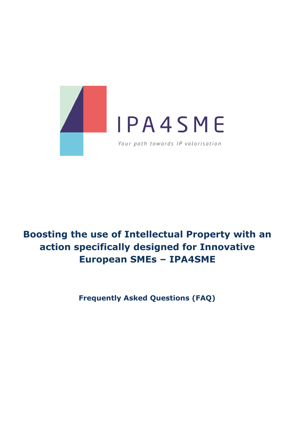

# **Boosting the use of Intellectual Property with an action specifically designed for Innovative European SMEs – IPA4SME**

**Frequently Asked Questions (FAQ)**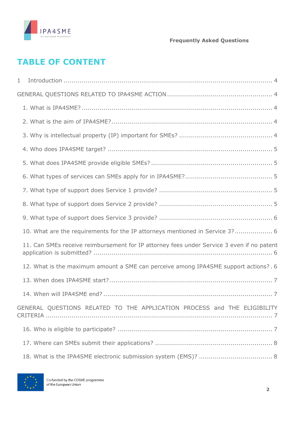

# **TABLE OF CONTENT**

| 1                                                                                         |
|-------------------------------------------------------------------------------------------|
|                                                                                           |
|                                                                                           |
|                                                                                           |
|                                                                                           |
|                                                                                           |
|                                                                                           |
|                                                                                           |
|                                                                                           |
|                                                                                           |
|                                                                                           |
| 10. What are the requirements for the IP attorneys mentioned in Service 3? 6              |
| 11. Can SMEs receive reimbursement for IP attorney fees under Service 3 even if no patent |
| 12. What is the maximum amount a SME can perceive among IPA4SME support actions?. 6       |
|                                                                                           |
|                                                                                           |
| GENERAL QUESTIONS RELATED TO THE APPLICATION PROCESS and THE ELIGIBILITY                  |
|                                                                                           |
|                                                                                           |
|                                                                                           |

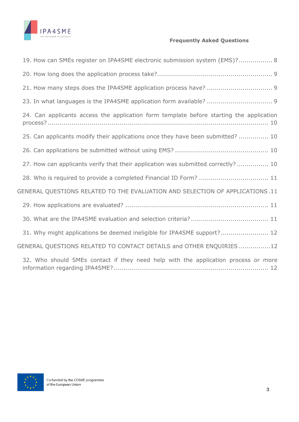

| 19. How can SMEs register on IPA4SME electronic submission system (EMS)? 8              |
|-----------------------------------------------------------------------------------------|
|                                                                                         |
|                                                                                         |
| 23. In what languages is the IPA4SME application form available?  9                     |
| 24. Can applicants access the application form template before starting the application |
| 25. Can applicants modify their applications once they have been submitted?  10         |
|                                                                                         |
| 27. How can applicants verify that their application was submitted correctly? 10        |
| 28. Who is required to provide a completed Financial ID Form?  11                       |
| GENERAL QUESTIONS RELATED TO THE EVALUATION AND SELECTION OF APPLICATIONS.11            |
|                                                                                         |
|                                                                                         |
| 31. Why might applications be deemed ineligible for IPA4SME support? 12                 |
| GENERAL QUESTIONS RELATED TO CONTACT DETAILS and OTHER ENQUIRIES12                      |
| 32. Who should SMEs contact if they need help with the application process or more      |

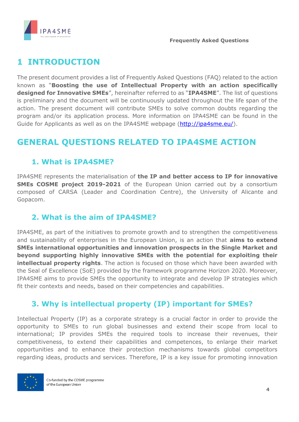

# <span id="page-3-0"></span>**1 INTRODUCTION**

The present document provides a list of Frequently Asked Questions (FAQ) related to the action known as "**Boosting the use of Intellectual Property with an action specifically designed for Innovative SMEs**", hereinafter referred to as "**IPA4SME**". The list of questions is preliminary and the document will be continuously updated throughout the life span of the action. The present document will contribute SMEs to solve common doubts regarding the program and/or its application process. More information on IPA4SME can be found in the Guide for Applicants as well as on the IPA4SME webpage [\(http://ipa4sme.eu/\)](http://ipa4sme.eu/).

# <span id="page-3-1"></span>**GENERAL QUESTIONS RELATED TO IPA4SME ACTION**

### <span id="page-3-2"></span>**1. What is IPA4SME?**

IPA4SME represents the materialisation of **the IP and better access to IP for innovative SMEs COSME project 2019-2021** of the European Union carried out by a consortium composed of CARSA (Leader and Coordination Centre), the University of Alicante and Gopacom.

### <span id="page-3-3"></span>**2. What is the aim of IPA4SME?**

IPA4SME, as part of the initiatives to promote growth and to strengthen the competitiveness and sustainability of enterprises in the European Union, is an action that **aims to extend SMEs international opportunities and innovation prospects in the Single Market and beyond supporting highly innovative SMEs with the potential for exploiting their intellectual property rights**. The action is focused on those which have been awarded with the Seal of Excellence (SoE) provided by the framework programme Horizon 2020. Moreover, IPA4SME aims to provide SMEs the opportunity to integrate and develop IP strategies which fit their contexts and needs, based on their competencies and capabilities.

### <span id="page-3-4"></span>**3. Why is intellectual property (IP) important for SMEs?**

Intellectual Property (IP) as a corporate strategy is a crucial factor in order to provide the opportunity to SMEs to run global businesses and extend their scope from local to international; IP provides SMEs the required tools to increase their revenues, their competitiveness, to extend their capabilities and competences, to enlarge their market opportunities and to enhance their protection mechanisms towards global competitors regarding ideas, products and services. Therefore, IP is a key issue for promoting innovation

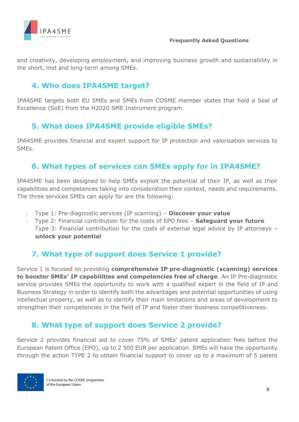

and creativity, developing employment, and improving business growth and sustainability in the short, mid and long-term among SMEs.

### <span id="page-4-0"></span>**4. Who does IPA4SME target?**

IPA4SME targets both EU SMEs and SMEs from COSME member states that hold a Seal of Excellence (SoE) from the H2020 SME Instrument program.

### <span id="page-4-1"></span>**5. What does IPA4SME provide eligible SMEs?**

IPA4SME provides financial and expert support for IP protection and valorisation services to SMEs.

#### <span id="page-4-2"></span>**6. What types of services can SMEs apply for in IPA4SME?**

IPA4SME has been designed to help SMEs exploit the potential of their IP, as well as their capabilities and competences taking into consideration their context, needs and requirements. The three services SMEs can apply for are the following:

- Type 1: Pre-diagnostic services (IP scanning) **Discover your value**
- Type 2: Financial contribution for the costs of EPO fees **Safeguard your future** Type 3: Financial contribution for the costs of external legal advice by IP attorneys – **unlock your potential**

### <span id="page-4-3"></span>**7. What type of support does Service 1 provide?**

Service 1 is focused on providing **comprehensive IP pre-diagnostic (scanning) services to booster SMEs' IP capabilities and competencies free of charge**. An IP Pre-diagnostic service provides SMEs the opportunity to work with a qualified expert in the field of IP and Business Strategy in order to identify both the advantages and potential opportunities of using intellectual property, as well as to identify their main limitations and areas of development to strengthen their competencies in the field of IP and foster their business competitiveness.

### <span id="page-4-4"></span>**8. What type of support does Service 2 provide?**

Service 2 provides financial aid to cover 75% of SMEs' patent application fees before the European Patent Office (EPO), up to 2 500 EUR per application. SMEs will have the opportunity through the action TYPE 2 to obtain financial support to cover up to a maximum of 5 patent

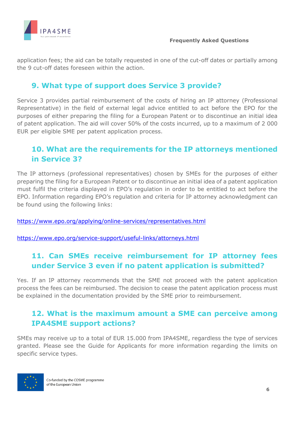

application fees; the aid can be totally requested in one of the cut-off dates or partially among the 9 cut-off dates foreseen within the action.

### <span id="page-5-0"></span>**9. What type of support does Service 3 provide?**

Service 3 provides partial reimbursement of the costs of hiring an IP attorney (Professional Representative) in the field of external legal advice entitled to act before the EPO for the purposes of either preparing the filing for a European Patent or to discontinue an initial idea of patent application. The aid will cover 50% of the costs incurred, up to a maximum of 2 000 EUR per eligible SME per patent application process.

## <span id="page-5-1"></span>**10. What are the requirements for the IP attorneys mentioned in Service 3?**

The IP attorneys (professional representatives) chosen by SMEs for the purposes of either preparing the filing for a European Patent or to discontinue an initial idea of a patent application must fulfil the criteria displayed in EPO's regulation in order to be entitled to act before the EPO. Information regarding EPO's regulation and criteria for IP attorney acknowledgment can be found using the following links:

<https://www.epo.org/applying/online-services/representatives.html>

<https://www.epo.org/service-support/useful-links/attorneys.html>

## <span id="page-5-2"></span>**11. Can SMEs receive reimbursement for IP attorney fees under Service 3 even if no patent application is submitted?**

Yes. If an IP attorney recommends that the SME not proceed with the patent application process the fees can be reimbursed. The decision to cease the patent application process must be explained in the documentation provided by the SME prior to reimbursement.

## <span id="page-5-3"></span>**12. What is the maximum amount a SME can perceive among IPA4SME support actions?**

SMEs may receive up to a total of EUR 15.000 from IPA4SME, regardless the type of services granted. Please see the Guide for Applicants for more information regarding the limits on specific service types.

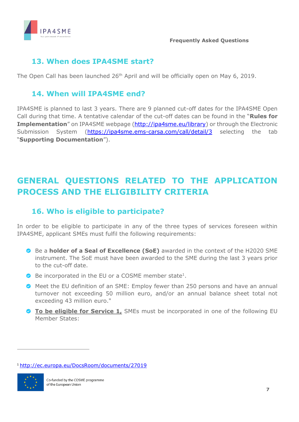

### <span id="page-6-0"></span>**13. When does IPA4SME start?**

The Open Call has been launched 26<sup>th</sup> April and will be officially open on May 6, 2019.

### <span id="page-6-1"></span>**14. When will IPA4SME end?**

IPA4SME is planned to last 3 years. There are 9 planned cut-off dates for the IPA4SME Open Call during that time. A tentative calendar of the cut-off dates can be found in the "**Rules for Implementation**" on IPA4SME webpage [\(http://ipa4sme.eu/library\)](http://ipa4sme.eu/library) or through the Electronic Submission System [\(https://ipa4sme.ems-carsa.com/call/detail/3](https://ipa4sme.ems-carsa.com/call/detail/3) selecting the tab "**Supporting Documentation**").

# <span id="page-6-2"></span>**GENERAL QUESTIONS RELATED TO THE APPLICATION PROCESS AND THE ELIGIBILITY CRITERIA**

## <span id="page-6-3"></span>**16. Who is eligible to participate?**

In order to be eligible to participate in any of the three types of services foreseen within IPA4SME, applicant SMEs must fulfil the following requirements:

- Be a **holder of a Seal of Excellence (SoE)** awarded in the context of the H2020 SME instrument. The SoE must have been awarded to the SME during the last 3 years prior to the cut-off date.
- Be incorporated in the EU or a COSME member state<sup>1</sup>.
- Meet the EU definition of an SME: Employ fewer than 250 persons and have an annual turnover not exceeding 50 million euro, and/or an annual balance sheet total not exceeding 43 million euro."
- **To be eligible for Service 1,** SMEs must be incorporated in one of the following EU Member States:

<sup>1</sup> <http://ec.europa.eu/DocsRoom/documents/27019>



 $\overline{a}$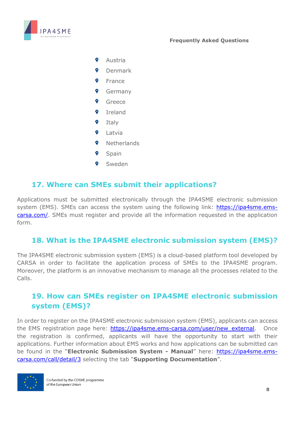

- $\bullet$ Austria
- $\bullet$ Denmark
- Ŷ France
- Ŷ Germany
- $\bullet$ Greece
- $\bullet$ Ireland
- 9 Italy
- $\bullet$ Latvia
- $\bullet$ **Netherlands**
- $\bullet$ Spain
- Sweden

#### <span id="page-7-0"></span>**17. Where can SMEs submit their applications?**

Applications must be submitted electronically through the IPA4SME electronic submission system (EMS). SMEs can access the system using the following link: [https://ipa4sme.ems](https://ipa4sme.ems-carsa.com/)[carsa.com/.](https://ipa4sme.ems-carsa.com/) SMEs must register and provide all the information requested in the application form.

#### <span id="page-7-1"></span>**18. What is the IPA4SME electronic submission system (EMS)?**

The IPA4SME electronic submission system (EMS) is a cloud-based platform tool developed by CARSA in order to facilitate the application process of SMEs to the IPA4SME program. Moreover, the platform is an innovative mechanism to manage all the processes related to the Calls.

### <span id="page-7-2"></span>**19. How can SMEs register on IPA4SME electronic submission system (EMS)?**

In order to register on the IPA4SME electronic submission system (EMS), applicants can access the EMS registration page here: https://ipa4sme.ems-carsa.com/user/new external. Once the registration is confirmed, applicants will have the opportunity to start with their applications. Further information about EMS works and how applications can be submitted can be found in the "**Electronic Submission System - Manual**" here: [https://ipa4sme.ems](https://ipa4sme.ems-carsa.com/call/detail/3)[carsa.com/call/detail/3](https://ipa4sme.ems-carsa.com/call/detail/3) selecting the tab "**Supporting Documentation**".

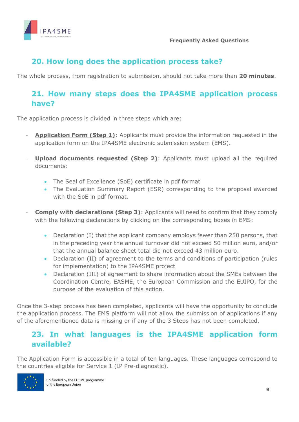

### <span id="page-8-0"></span>**20. How long does the application process take?**

The whole process, from registration to submission, should not take more than **20 minutes**.

### <span id="page-8-1"></span>**21. How many steps does the IPA4SME application process have?**

The application process is divided in three steps which are:

- **Application Form (Step 1)**: Applicants must provide the information requested in the application form on the IPA4SME electronic submission system (EMS).
- **Upload documents requested (Step 2):** Applicants must upload all the required documents:
	- The Seal of Excellence (SoE) certificate in pdf format
	- The Evaluation Summary Report (ESR) corresponding to the proposal awarded with the SoE in pdf format.
- **Comply with declarations (Step 3):** Applicants will need to confirm that they comply with the following declarations by clicking on the corresponding boxes in EMS:
	- Declaration (I) that the applicant company employs fewer than 250 persons, that in the preceding year the annual turnover did not exceed 50 million euro, and/or that the annual balance sheet total did not exceed 43 million euro.
	- Declaration (II) of agreement to the terms and conditions of participation (rules for implementation) to the IPA4SME project
	- Declaration (III) of agreement to share information about the SMEs between the Coordination Centre, EASME, the European Commission and the EUIPO, for the purpose of the evaluation of this action.

Once the 3-step process has been completed, applicants will have the opportunity to conclude the application process. The EMS platform will not allow the submission of applications if any of the aforementioned data is missing or if any of the 3 Steps has not been completed.

## <span id="page-8-2"></span>**23. In what languages is the IPA4SME application form available?**

The Application Form is accessible in a total of ten languages. These languages correspond to the countries eligible for Service 1 (IP Pre-diagnostic).

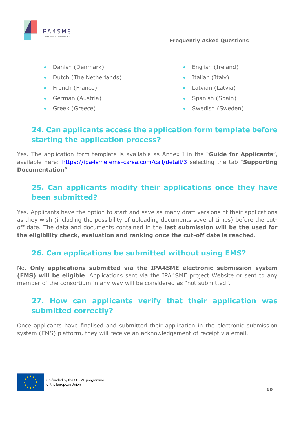

- Danish (Denmark)
- Dutch (The Netherlands)
- French (France)
- German (Austria)
- Greek (Greece)
- English (Ireland)
- Italian (Italy)
- Latvian (Latvia)
- Spanish (Spain)
- Swedish (Sweden)

## <span id="page-9-0"></span>**24. Can applicants access the application form template before starting the application process?**

Yes. The application form template is available as Annex I in the "**Guide for Applicants**", available here:<https://ipa4sme.ems-carsa.com/call/detail/3> selecting the tab "**Supporting Documentation**".

## <span id="page-9-1"></span>**25. Can applicants modify their applications once they have been submitted?**

Yes. Applicants have the option to start and save as many draft versions of their applications as they wish (including the possibility of uploading documents several times) before the cutoff date. The data and documents contained in the **last submission will be the used for the eligibility check, evaluation and ranking once the cut-off date is reached**.

### <span id="page-9-2"></span>**26. Can applications be submitted without using EMS?**

No. **Only applications submitted via the IPA4SME electronic submission system (EMS) will be eligible**. Applications sent via the IPA4SME project Website or sent to any member of the consortium in any way will be considered as "not submitted".

## <span id="page-9-3"></span>**27. How can applicants verify that their application was submitted correctly?**

Once applicants have finalised and submitted their application in the electronic submission system (EMS) platform, they will receive an acknowledgement of receipt via email.

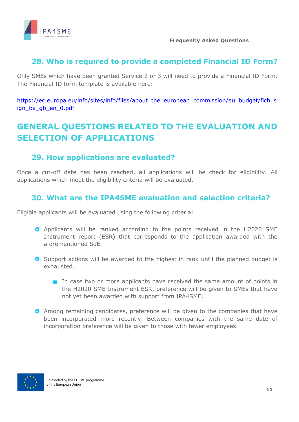

### <span id="page-10-0"></span>**28. Who is required to provide a completed Financial ID Form?**

Only SMEs which have been granted Service 2 or 3 will need to provide a Financial ID Form. The Financial ID form template is available here:

[https://ec.europa.eu/info/sites/info/files/about\\_the\\_european\\_commission/eu\\_budget/fich\\_s](https://ec.europa.eu/info/sites/info/files/about_the_european_commission/eu_budget/fich_sign_ba_gb_en_0.pdf) [ign\\_ba\\_gb\\_en\\_0.pdf](https://ec.europa.eu/info/sites/info/files/about_the_european_commission/eu_budget/fich_sign_ba_gb_en_0.pdf)

# <span id="page-10-1"></span>**GENERAL QUESTIONS RELATED TO THE EVALUATION AND SELECTION OF APPLICATIONS**

### <span id="page-10-2"></span>**29. How applications are evaluated?**

Once a cut-off date has been reached, all applications will be check for eligibility. All applications which meet the eligibility criteria will be evaluated.

## <span id="page-10-3"></span>**30. What are the IPA4SME evaluation and selection criteria?**

Eligible applicants will be evaluated using the following criteria:

- Applicants will be ranked according to the points received in the H2020 SME Instrument report (ESR) that corresponds to the application awarded with the aforementioned SoE.
- Support actions will be awarded to the highest in rank until the planned budget is exhausted.
	- In case two or more applicants have received the same amount of points in the H2020 SME Instrument ESR, preference will be given to SMEs that have not yet been awarded with support from IPA4SME.
- Among remaining candidates, preference will be given to the companies that have been incorporated more recently. Between companies with the same date of incorporation preference will be given to those with fewer employees.

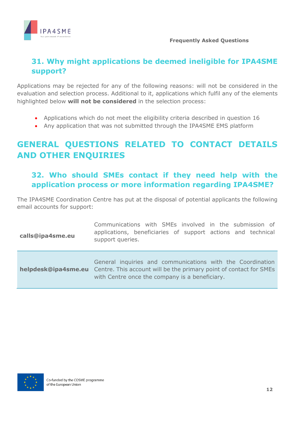

## <span id="page-11-0"></span>**31. Why might applications be deemed ineligible for IPA4SME support?**

Applications may be rejected for any of the following reasons: will not be considered in the evaluation and selection process. Additional to it, applications which fulfil any of the elements highlighted below **will not be considered** in the selection process:

- Applications which do not meet the eligibility criteria described in question 16
- Any application that was not submitted through the IPA4SME EMS platform

# <span id="page-11-1"></span>**GENERAL QUESTIONS RELATED TO CONTACT DETAILS AND OTHER ENQUIRIES**

## <span id="page-11-2"></span>**32. Who should SMEs contact if they need help with the application process or more information regarding IPA4SME?**

The IPA4SME Coordination Centre has put at the disposal of potential applicants the following email accounts for support:

| calls@ipa4sme.eu | Communications with SMEs involved in the submission of<br>applications, beneficiaries of support actions and technical<br>support queries.                                                                    |
|------------------|---------------------------------------------------------------------------------------------------------------------------------------------------------------------------------------------------------------|
|                  | General inquiries and communications with the Coordination<br><b>helpdesk@ipa4sme.eu</b> Centre. This account will be the primary point of contact for SMEs<br>with Centre once the company is a beneficiary. |